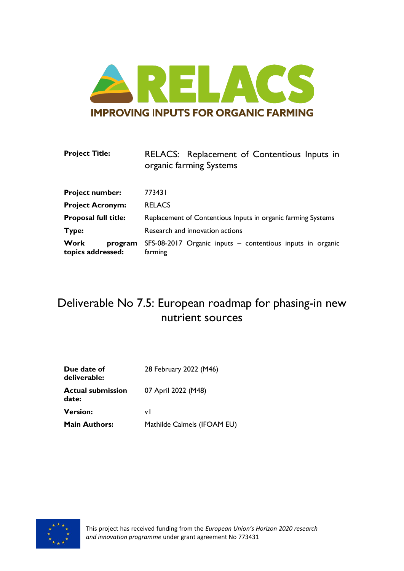

| <b>Project Title:</b>                       | RELACS: Replacement of Contentious Inputs in<br>organic farming Systems |
|---------------------------------------------|-------------------------------------------------------------------------|
| <b>Project number:</b>                      | 773431                                                                  |
| <b>Project Acronym:</b>                     | <b>RELACS</b>                                                           |
| Proposal full title:                        | Replacement of Contentious Inputs in organic farming Systems            |
| Type:                                       | Research and innovation actions                                         |
| <b>Work</b><br>program<br>topics addressed: | SFS-08-2017 Organic inputs - contentious inputs in organic<br>farming   |

# Deliverable No 7.5: European roadmap for phasing-in new nutrient sources

| Due date of<br>deliverable:       | 28 February 2022 (M46)      |  |  |
|-----------------------------------|-----------------------------|--|--|
| <b>Actual submission</b><br>date: | 07 April 2022 (M48)         |  |  |
| <b>Version:</b>                   | vl                          |  |  |
| <b>Main Authors:</b>              | Mathilde Calmels (IFOAM EU) |  |  |

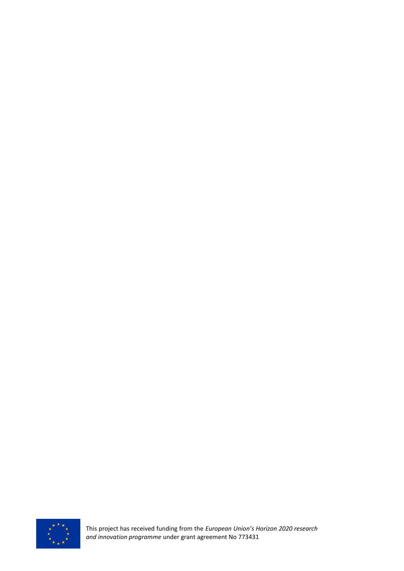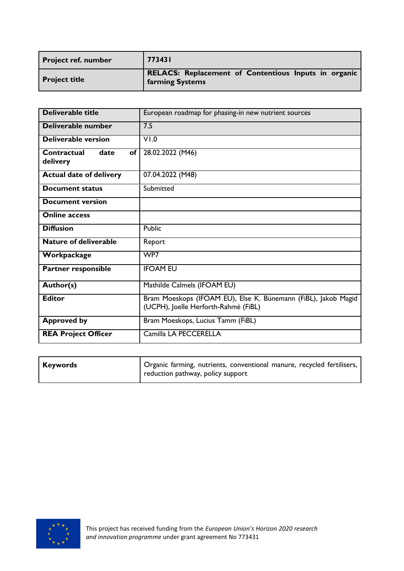| <b>Project ref. number</b> | 773431                                                                  |
|----------------------------|-------------------------------------------------------------------------|
| <b>Project title</b>       | RELACS: Replacement of Contentious Inputs in organic<br>farming Systems |

| <b>Deliverable title</b>              | European roadmap for phasing-in new nutrient sources                                                   |
|---------------------------------------|--------------------------------------------------------------------------------------------------------|
| Deliverable number                    | 7.5                                                                                                    |
| Deliverable version                   | V1.0                                                                                                   |
| Contractual<br>date<br>of<br>delivery | 28.02.2022 (M46)                                                                                       |
| <b>Actual date of delivery</b>        | 07.04.2022 (M48)                                                                                       |
| <b>Document status</b>                | Submitted                                                                                              |
| <b>Document version</b>               |                                                                                                        |
| <b>Online access</b>                  |                                                                                                        |
| <b>Diffusion</b>                      | Public                                                                                                 |
| <b>Nature of deliverable</b>          | Report                                                                                                 |
| Workpackage                           | WP7                                                                                                    |
| <b>Partner responsible</b>            | <b>IFOAM EU</b>                                                                                        |
| Author(s)                             | Mathilde Calmels (IFOAM EU)                                                                            |
| <b>Editor</b>                         | Bram Moeskops (IFOAM EU), Else K. Bünemann (FiBL), Jakob Magid<br>(UCPH), Joelle Herforth-Rahmé (FiBL) |
| <b>Approved by</b>                    | Bram Moeskops, Lucius Tamm (FiBL)                                                                      |
| <b>REA Project Officer</b>            | Camilla LA PECCERELLA                                                                                  |

| Keywords | Organic farming, nutrients, conventional manure, recycled fertilisers, |
|----------|------------------------------------------------------------------------|
|          | reduction pathway, policy support                                      |

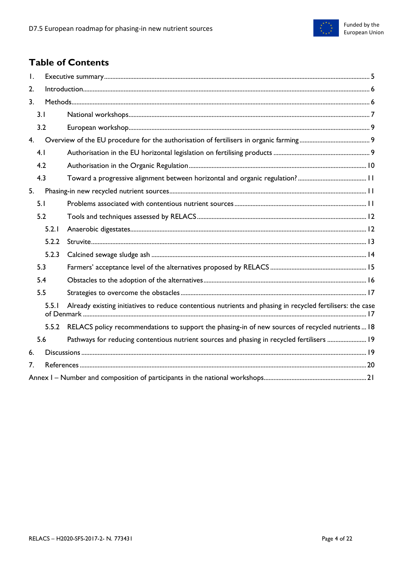

# **Table of Contents**

| $\mathsf{L}$   |       |                                                                                                            |  |  |
|----------------|-------|------------------------------------------------------------------------------------------------------------|--|--|
| 2.             |       |                                                                                                            |  |  |
| 3 <sub>1</sub> |       |                                                                                                            |  |  |
| 3.1            |       |                                                                                                            |  |  |
|                | 3.2   |                                                                                                            |  |  |
| 4.             |       |                                                                                                            |  |  |
|                | 4.1   |                                                                                                            |  |  |
|                | 4.2   |                                                                                                            |  |  |
|                | 4.3   |                                                                                                            |  |  |
| 5.             |       |                                                                                                            |  |  |
|                | 5.1   |                                                                                                            |  |  |
|                | 5.2   |                                                                                                            |  |  |
|                | 5.2.1 |                                                                                                            |  |  |
|                | 5.2.2 |                                                                                                            |  |  |
|                | 5.2.3 |                                                                                                            |  |  |
|                | 5.3   |                                                                                                            |  |  |
|                | 5.4   |                                                                                                            |  |  |
|                | 5.5   |                                                                                                            |  |  |
|                | 5.5.1 | Already existing initiatives to reduce contentious nutrients and phasing in recycled fertilisers: the case |  |  |
|                | 5.5.2 | RELACS policy recommendations to support the phasing-in of new sources of recycled nutrients 18            |  |  |
|                | 5.6   | Pathways for reducing contentious nutrient sources and phasing in recycled fertilisers  19                 |  |  |
| 6.             |       |                                                                                                            |  |  |
| 7.             |       |                                                                                                            |  |  |
|                |       |                                                                                                            |  |  |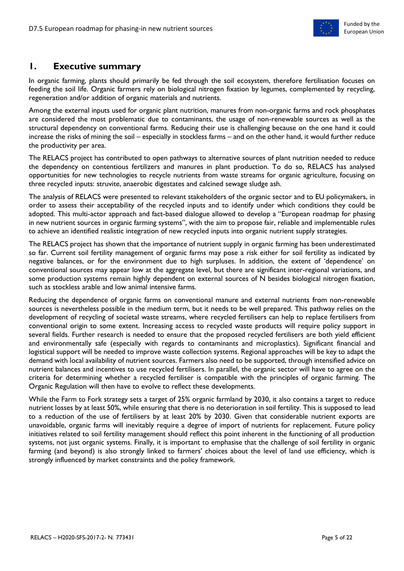

## <span id="page-4-0"></span>**1. Executive summary**

In organic farming, plants should primarily be fed through the soil ecosystem, therefore fertilisation focuses on feeding the soil life. Organic farmers rely on biological nitrogen fixation by legumes, complemented by recycling, regeneration and/or addition of organic materials and nutrients.

Among the external inputs used for organic plant nutrition, manures from non-organic farms and rock phosphates are considered the most problematic due to contaminants, the usage of non-renewable sources as well as the structural dependency on conventional farms. Reducing their use is challenging because on the one hand it could increase the risks of mining the soil – especially in stockless farms – and on the other hand, it would further reduce the productivity per area.

The RELACS project has contributed to open pathways to alternative sources of plant nutrition needed to reduce the dependency on contentious fertilizers and manures in plant production. To do so, RELACS has analysed opportunities for new technologies to recycle nutrients from waste streams for organic agriculture, focusing on three recycled inputs: struvite, anaerobic digestates and calcined sewage sludge ash.

The analysis of RELACS were presented to relevant stakeholders of the organic sector and to EU policymakers, in order to assess their acceptability of the recycled inputs and to identify under which conditions they could be adopted. This multi-actor approach and fact-based dialogue allowed to develop a "European roadmap for phasing in new nutrient sources in organic farming systems", with the aim to propose fair, reliable and implementable rules to achieve an identified realistic integration of new recycled inputs into organic nutrient supply strategies.

The RELACS project has shown that the importance of nutrient supply in organic farming has been underestimated so far. Current soil fertility management of organic farms may pose a risk either for soil fertility as indicated by negative balances, or for the environment due to high surpluses. In addition, the extent of 'dependence' on conventional sources may appear low at the aggregate level, but there are significant inter-regional variations, and some production systems remain highly dependent on external sources of N besides biological nitrogen fixation, such as stockless arable and low animal intensive farms.

Reducing the dependence of organic farms on conventional manure and external nutrients from non-renewable sources is nevertheless possible in the medium term, but it needs to be well prepared. This pathway relies on the development of recycling of societal waste streams, where recycled fertilisers can help to replace fertilisers from conventional origin to some extent. Increasing access to recycled waste products will require policy support in several fields. Further research is needed to ensure that the proposed recycled fertilisers are both yield efficient and environmentally safe (especially with regards to contaminants and microplastics). Significant financial and logistical support will be needed to improve waste collection systems. Regional approaches will be key to adapt the demand with local availability of nutrient sources. Farmers also need to be supported, through intensified advice on nutrient balances and incentives to use recycled fertilisers. In parallel, the organic sector will have to agree on the criteria for determining whether a recycled fertiliser is compatible with the principles of organic farming. The Organic Regulation will then have to evolve to reflect these developments.

While the Farm to Fork strategy sets a target of 25% organic farmland by 2030, it also contains a target to reduce nutrient losses by at least 50%, while ensuring that there is no deterioration in soil fertility. This is supposed to lead to a reduction of the use of fertilisers by at least 20% by 2030. Given that considerable nutrient exports are unavoidable, organic farms will inevitably require a degree of import of nutrients for replacement. Future policy initiatives related to soil fertility management should reflect this point inherent in the functioning of all production systems, not just organic systems. Finally, it is important to emphasise that the challenge of soil fertility in organic farming (and beyond) is also strongly linked to farmers' choices about the level of land use efficiency, which is strongly influenced by market constraints and the policy framework.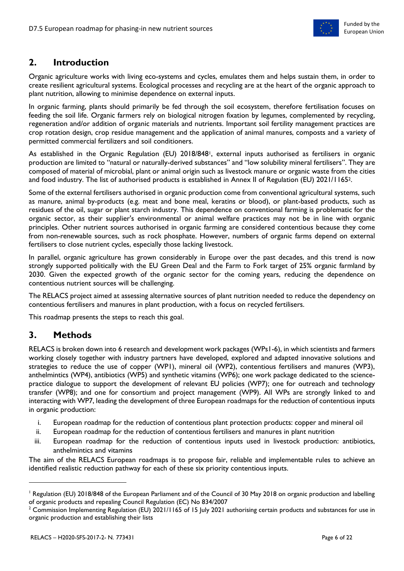

# <span id="page-5-0"></span>**2. Introduction**

Organic agriculture works with living eco-systems and cycles, emulates them and helps sustain them, in order to create resilient agricultural systems. Ecological processes and recycling are at the heart of the organic approach to plant nutrition, allowing to minimise dependence on external inputs.

In organic farming, plants should primarily be fed through the soil ecosystem, therefore fertilisation focuses on feeding the soil life. Organic farmers rely on biological nitrogen fixation by legumes, complemented by recycling, regeneration and/or addition of organic materials and nutrients. Important soil fertility management practices are crop rotation design, crop residue management and the application of animal manures, composts and a variety of permitted commercial fertilizers and soil conditioners.

As established in the Organic Regulation (EU) 2018/848<sup>1</sup>, external inputs authorised as fertilisers in organic production are limited to "natural or naturally-derived substances" and "low solubility mineral fertilisers". They are composed of material of microbial, plant or animal origin such as livestock manure or organic waste from the cities and food industry. The list of authorised products is established in Annex II of Regulation (EU) 2021/11652.

Some of the external fertilisers authorised in organic production come from conventional agricultural systems, such as manure, animal by-products (e.g. meat and bone meal, keratins or blood), or plant-based products, such as residues of the oil, sugar or plant starch industry. This dependence on conventional farming is problematic for the organic sector, as their supplier's environmental or animal welfare practices may not be in line with organic principles. Other nutrient sources authorised in organic farming are considered contentious because they come from non-renewable sources, such as rock phosphate. However, numbers of organic farms depend on external fertilisers to close nutrient cycles, especially those lacking livestock.

In parallel, organic agriculture has grown considerably in Europe over the past decades, and this trend is now strongly supported politically with the EU Green Deal and the Farm to Fork target of 25% organic farmland by 2030. Given the expected growth of the organic sector for the coming years, reducing the dependence on contentious nutrient sources will be challenging.

The RELACS project aimed at assessing alternative sources of plant nutrition needed to reduce the dependency on contentious fertilisers and manures in plant production, with a focus on recycled fertilisers.

This roadmap presents the steps to reach this goal.

# <span id="page-5-1"></span>**3. Methods**

RELACS is broken down into 6 research and development work packages (WPs1-6), in which scientists and farmers working closely together with industry partners have developed, explored and adapted innovative solutions and strategies to reduce the use of copper (WP1), mineral oil (WP2), contentious fertilisers and manures (WP3), anthelmintics (WP4), antibiotics (WP5) and synthetic vitamins (WP6); one work package dedicated to the sciencepractice dialogue to support the development of relevant EU policies (WP7); one for outreach and technology transfer (WP8); and one for consortium and project management (WP9). All WPs are strongly linked to and interacting with WP7, leading the development of three European roadmaps for the reduction of contentious inputs in organic production:

- i. European roadmap for the reduction of contentious plant protection products: copper and mineral oil
- ii. European roadmap for the reduction of contentious fertilisers and manures in plant nutrition
- iii. European roadmap for the reduction of contentious inputs used in livestock production: antibiotics, anthelmintics and vitamins

The aim of the RELACS European roadmaps is to propose fair, reliable and implementable rules to achieve an identified realistic reduction pathway for each of these six priority contentious inputs.

<sup>&</sup>lt;sup>1</sup> Regulation (EU) 2018/848 of the European Parliament and of the Council of 30 May 2018 on organic production and labelling of organic products and repealing Council Regulation (EC) No 834/2007

<sup>&</sup>lt;sup>2</sup> Commission Implementing Regulation (EU) 2021/1165 of 15 July 2021 authorising certain products and substances for use in organic production and establishing their lists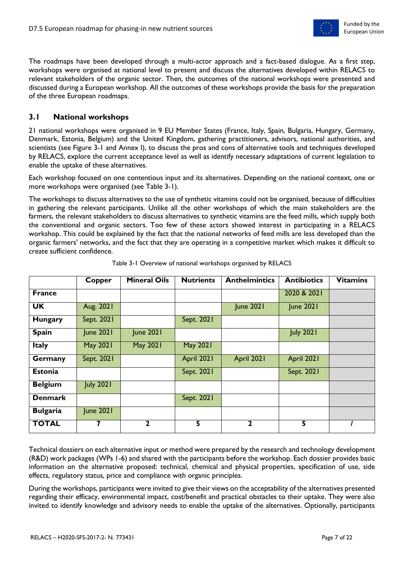

The roadmaps have been developed through a multi-actor approach and a fact-based dialogue. As a first step, workshops were organised at national level to present and discuss the alternatives developed within RELACS to relevant stakeholders of the organic sector. Then, the outcomes of the national workshops were presented and discussed during a European workshop. All the outcomes of these workshops provide the basis for the preparation of the three European roadmaps.

### <span id="page-6-0"></span>**3.1 National workshops**

21 national workshops were organised in 9 EU Member States (France, Italy, Spain, Bulgaria, Hungary, Germany, Denmark, Estonia, Belgium) and the United Kingdom, gathering practitioners, advisors, national authorities, and scientists (see Figure 3-1 and Annex I), to discuss the pros and cons of alternative tools and techniques developed by RELACS, explore the current acceptance level as well as identify necessary adaptations of current legislation to enable the uptake of these alternatives.

Each workshop focused on one contentious input and its alternatives. Depending on the national context, one or more workshops were organised (see Table 3-1).

The workshops to discuss alternatives to the use of synthetic vitamins could not be organised, because of difficulties in gathering the relevant participants. Unlike all the other workshops of which the main stakeholders are the farmers, the relevant stakeholders to discuss alternatives to synthetic vitamins are the feed mills, which supply both the conventional and organic sectors. Too few of these actors showed interest in participating in a RELACS workshop. This could be explained by the fact that the national networks of feed mills are less developed than the organic farmers' networks, and the fact that they are operating in a competitive market which makes it difficult to create sufficient confidence.

|                 | Copper           | <b>Mineral Oils</b> | <b>Nutrients</b> | <b>Anthelmintics</b> | <b>Antibiotics</b> | <b>Vitamins</b> |
|-----------------|------------------|---------------------|------------------|----------------------|--------------------|-----------------|
| <b>France</b>   |                  |                     |                  |                      | 2020 & 2021        |                 |
| <b>UK</b>       | Aug. 2021        |                     |                  | <b>June 2021</b>     | <b>June 2021</b>   |                 |
| <b>Hungary</b>  | Sept. 2021       |                     | Sept. 2021       |                      |                    |                 |
| <b>Spain</b>    | <b>June 2021</b> | <b>June 2021</b>    |                  |                      | <b>July 2021</b>   |                 |
| <b>Italy</b>    | May 2021         | <b>May 2021</b>     | <b>May 2021</b>  |                      |                    |                 |
| Germany         | Sept. 2021       |                     | April 2021       | April 2021           | April 2021         |                 |
| Estonia         |                  |                     | Sept. 2021       |                      | Sept. 2021         |                 |
| <b>Belgium</b>  | <b>July 2021</b> |                     |                  |                      |                    |                 |
| <b>Denmark</b>  |                  |                     | Sept. 2021       |                      |                    |                 |
| <b>Bulgaria</b> | <b>June 2021</b> |                     |                  |                      |                    |                 |
| <b>TOTAL</b>    | 7                | $\mathbf{2}$        | $\overline{5}$   | $\mathbf{2}$         | 5                  |                 |

Table 3-1 Overview of national workshops organised by RELACS

Technical dossiers on each alternative input or method were prepared by the research and technology development (R&D) work packages (WPs 1-6) and shared with the participants before the workshop. Each dossier provides basic information on the alternative proposed: technical, chemical and physical properties, specification of use, side effects, regulatory status, price and compliance with organic principles.

During the workshops, participants were invited to give their views on the acceptability of the alternatives presented regarding their efficacy, environmental impact, cost/benefit and practical obstacles to their uptake. They were also invited to identify knowledge and advisory needs to enable the uptake of the alternatives. Optionally, participants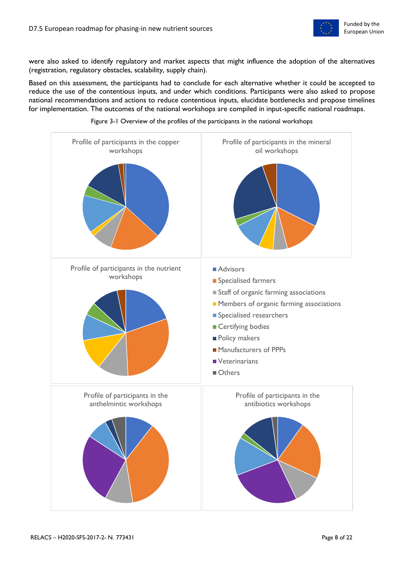

were also asked to identify regulatory and market aspects that might influence the adoption of the alternatives (registration, regulatory obstacles, scalability, supply chain).

Based on this assessment, the participants had to conclude for each alternative whether it could be accepted to reduce the use of the contentious inputs, and under which conditions. Participants were also asked to propose national recommendations and actions to reduce contentious inputs, elucidate bottlenecks and propose timelines for implementation. The outcomes of the national workshops are compiled in input-specific national roadmaps.



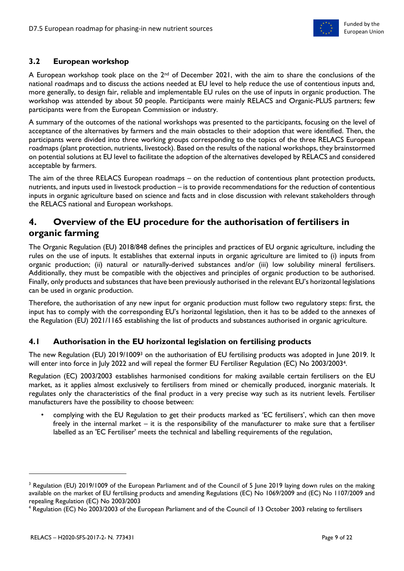

### <span id="page-8-0"></span>**3.2 European workshop**

A European workshop took place on the  $2^{nd}$  of December 2021, with the aim to share the conclusions of the national roadmaps and to discuss the actions needed at EU level to help reduce the use of contentious inputs and, more generally, to design fair, reliable and implementable EU rules on the use of inputs in organic production. The workshop was attended by about 50 people. Participants were mainly RELACS and Organic-PLUS partners; few participants were from the European Commission or industry.

A summary of the outcomes of the national workshops was presented to the participants, focusing on the level of acceptance of the alternatives by farmers and the main obstacles to their adoption that were identified. Then, the participants were divided into three working groups corresponding to the topics of the three RELACS European roadmaps (plant protection, nutrients, livestock). Based on the results of the national workshops, they brainstormed on potential solutions at EU level to facilitate the adoption of the alternatives developed by RELACS and considered acceptable by farmers.

The aim of the three RELACS European roadmaps – on the reduction of contentious plant protection products, nutrients, and inputs used in livestock production – is to provide recommendations for the reduction of contentious inputs in organic agriculture based on science and facts and in close discussion with relevant stakeholders through the RELACS national and European workshops.

# <span id="page-8-1"></span>**4. Overview of the EU procedure for the authorisation of fertilisers in organic farming**

The Organic Regulation (EU) 2018/848 defines the principles and practices of EU organic agriculture, including the rules on the use of inputs. It establishes that external inputs in organic agriculture are limited to (i) inputs from organic production; (ii) natural or naturally-derived substances and/or (iii) low solubility mineral fertilisers. Additionally, they must be compatible with the objectives and principles of organic production to be authorised. Finally, only products and substances that have been previously authorised in the relevant EU's horizontal legislations can be used in organic production.

Therefore, the authorisation of any new input for organic production must follow two regulatory steps: first, the input has to comply with the corresponding EU's horizontal legislation, then it has to be added to the annexes of the Regulation (EU) 2021/1165 establishing the list of products and substances authorised in organic agriculture.

## <span id="page-8-2"></span>**4.1 Authorisation in the EU horizontal legislation on fertilising products**

The new Regulation (EU) 2019/1009<sup>3</sup> on the authorisation of EU fertilising products was adopted in June 2019. It will enter into force in July 2022 and will repeal the former EU Fertiliser Regulation (EC) No 2003/20034.

Regulation (EC) 2003/2003 establishes harmonised conditions for making available certain fertilisers on the EU market, as it applies almost exclusively to fertilisers from mined or chemically produced, inorganic materials. It regulates only the characteristics of the final product in a very precise way such as its nutrient levels. Fertiliser manufacturers have the possibility to choose between:

complying with the EU Regulation to get their products marked as 'EC fertilisers', which can then move freely in the internal market – it is the responsibility of the manufacturer to make sure that a fertiliser labelled as an 'EC Fertiliser' meets the technical and labelling requirements of the regulation,

<sup>&</sup>lt;sup>3</sup> Regulation (EU) 2019/1009 of the European Parliament and of the Council of 5 June 2019 laying down rules on the making available on the market of EU fertilising products and amending Regulations (EC) No 1069/2009 and (EC) No 1107/2009 and repealing Regulation (EC) No 2003/2003

<sup>4</sup> Regulation (EC) No 2003/2003 of the European Parliament and of the Council of 13 October 2003 relating to fertilisers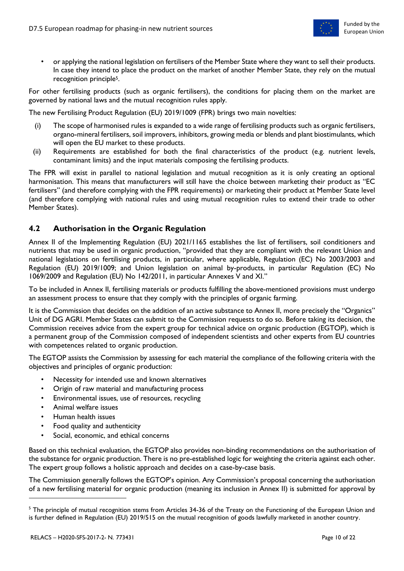

• or applying the national legislation on fertilisers of the Member State where they want to sell their products. In case they intend to place the product on the market of another Member State, they rely on the mutual recognition principle5.

For other fertilising products (such as organic fertilisers), the conditions for placing them on the market are governed by national laws and the mutual recognition rules apply.

The new Fertilising Product Regulation (EU) 2019/1009 (FPR) brings two main novelties:

- (i) The scope of harmonised rules is expanded to a wide range of fertilising products such as organic fertilisers, organo-mineral fertilisers, soil improvers, inhibitors, growing media or blends and plant biostimulants, which will open the EU market to these products.
- (ii) Requirements are established for both the final characteristics of the product (e.g. nutrient levels, contaminant limits) and the input materials composing the fertilising products.

The FPR will exist in parallel to national legislation and mutual recognition as it is only creating an optional harmonisation. This means that manufacturers will still have the choice between marketing their product as "EC fertilisers" (and therefore complying with the FPR requirements) or marketing their product at Member State level (and therefore complying with national rules and using mutual recognition rules to extend their trade to other Member States).

### <span id="page-9-0"></span>**4.2 Authorisation in the Organic Regulation**

Annex II of the Implementing Regulation (EU) 2021/1165 establishes the list of fertilisers, soil conditioners and nutrients that may be used in organic production, "provided that they are compliant with the relevant Union and national legislations on fertilising products, in particular, where applicable, Regulation (EC) No 2003/2003 and Regulation (EU) 2019/1009; and Union legislation on animal by-products, in particular Regulation (EC) No 1069/2009 and Regulation (EU) No 142/2011, in particular Annexes V and XI."

To be included in Annex II, fertilising materials or products fulfilling the above-mentioned provisions must undergo an assessment process to ensure that they comply with the principles of organic farming.

It is the Commission that decides on the addition of an active substance to Annex II, more precisely the "Organics" Unit of DG AGRI. Member States can submit to the Commission requests to do so. Before taking its decision, the Commission receives advice from the expert group for technical advice on organic production (EGTOP), which is a permanent group of the Commission composed of independent scientists and other experts from EU countries with competences related to organic production.

The EGTOP assists the Commission by assessing for each material the compliance of the following criteria with the objectives and principles of organic production:

- Necessity for intended use and known alternatives
- Origin of raw material and manufacturing process
- Environmental issues, use of resources, recycling
- Animal welfare issues
- Human health issues
- Food quality and authenticity
- Social, economic, and ethical concerns

Based on this technical evaluation, the EGTOP also provides non-binding recommendations on the authorisation of the substance for organic production. There is no pre-established logic for weighting the criteria against each other. The expert group follows a holistic approach and decides on a case-by-case basis.

The Commission generally follows the EGTOP's opinion. Any Commission's proposal concerning the authorisation of a new fertilising material for organic production (meaning its inclusion in Annex II) is submitted for approval by

 $\overline{a}$ 

<sup>&</sup>lt;sup>5</sup> The principle of mutual recognition stems from Articles 34-36 of the Treaty on the Functioning of the European Union and is further defined in Regulation (EU) 2019/515 on the mutual recognition of goods lawfully marketed in another country.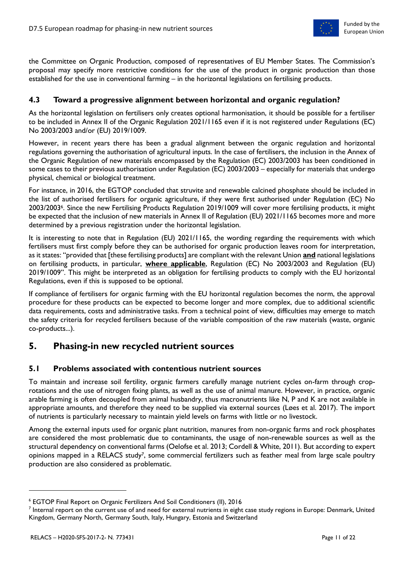

the Committee on Organic Production, composed of representatives of EU Member States. The Commission's proposal may specify more restrictive conditions for the use of the product in organic production than those established for the use in conventional farming – in the horizontal legislations on fertilising products.

### <span id="page-10-0"></span>**4.3 Toward a progressive alignment between horizontal and organic regulation?**

As the horizontal legislation on fertilisers only creates optional harmonisation, it should be possible for a fertiliser to be included in Annex II of the Organic Regulation 2021/1165 even if it is not registered under Regulations (EC) No 2003/2003 and/or (EU) 2019/1009.

However, in recent years there has been a gradual alignment between the organic regulation and horizontal regulations governing the authorisation of agricultural inputs. In the case of fertilisers, the inclusion in the Annex of the Organic Regulation of new materials encompassed by the Regulation (EC) 2003/2003 has been conditioned in some cases to their previous authorisation under Regulation (EC) 2003/2003 – especially for materials that undergo physical, chemical or biological treatment.

For instance, in 2016, the EGTOP concluded that struvite and renewable calcined phosphate should be included in the list of authorised fertilisers for organic agriculture, if they were first authorised under Regulation (EC) No 2003/20036. Since the new Fertilising Products Regulation 2019/1009 will cover more fertilising products, it might be expected that the inclusion of new materials in Annex II of Regulation (EU) 2021/1165 becomes more and more determined by a previous registration under the horizontal legislation.

It is interesting to note that in Regulation (EU) 2021/1165, the wording regarding the requirements with which fertilisers must first comply before they can be authorised for organic production leaves room for interpretation, as it states: "provided that [these fertilising products] are compliant with the relevant Union **and** national legislations on fertilising products, in particular, **where applicable**, Regulation (EC) No 2003/2003 and Regulation (EU) 2019/1009". This might be interpreted as an obligation for fertilising products to comply with the EU horizontal Regulations, even if this is supposed to be optional.

If compliance of fertilisers for organic farming with the EU horizontal regulation becomes the norm, the approval procedure for these products can be expected to become longer and more complex, due to additional scientific data requirements, costs and administrative tasks. From a technical point of view, difficulties may emerge to match the safety criteria for recycled fertilisers because of the variable composition of the raw materials (waste, organic co-products...).

# <span id="page-10-1"></span>**5. Phasing-in new recycled nutrient sources**

### <span id="page-10-2"></span>**5.1 Problems associated with contentious nutrient sources**

To maintain and increase soil fertility, organic farmers carefully manage nutrient cycles on-farm through croprotations and the use of nitrogen fixing plants, as well as the use of animal manure. However, in practice, organic arable farming is often decoupled from animal husbandry, thus macronutrients like N, P and K are not available in appropriate amounts, and therefore they need to be supplied via external sources (Løes et al. 2017). The import of nutrients is particularly necessary to maintain yield levels on farms with little or no livestock.

Among the external inputs used for organic plant nutrition, manures from non-organic farms and rock phosphates are considered the most problematic due to contaminants, the usage of non-renewable sources as well as the structural dependency on conventional farms (Oelofse et al. 2013; Cordell & White, 2011). But according to expert opinions mapped in a RELACS study7, some commercial fertilizers such as feather meal from large scale poultry production are also considered as problematic.

<sup>6</sup> EGTOP Final Report on Organic Fertilizers And Soil Conditioners (II), 2016

<sup>7</sup> Internal report on the current use of and need for external nutrients in eight case study regions in Europe: Denmark, United Kingdom, Germany North, Germany South, Italy, Hungary, Estonia and Switzerland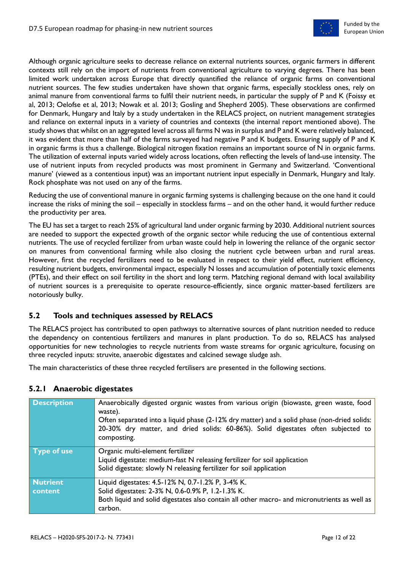

Although organic agriculture seeks to decrease reliance on external nutrients sources, organic farmers in different contexts still rely on the import of nutrients from conventional agriculture to varying degrees. There has been limited work undertaken across Europe that directly quantified the reliance of organic farms on conventional nutrient sources. The few studies undertaken have shown that organic farms, especially stockless ones, rely on animal manure from conventional farms to fulfil their nutrient needs, in particular the supply of P and K (Foissy et al, 2013; Oelofse et al, 2013; Nowak et al. 2013; Gosling and Shepherd 2005). These observations are confirmed for Denmark, Hungary and Italy by a study undertaken in the RELACS project, on nutrient management strategies and reliance on external inputs in a variety of countries and contexts (the internal report mentioned above). The study shows that whilst on an aggregated level across all farms N was in surplus and P and K were relatively balanced, it was evident that more than half of the farms surveyed had negative P and K budgets. Ensuring supply of P and K in organic farms is thus a challenge. Biological nitrogen fixation remains an important source of N in organic farms. The utilization of external inputs varied widely across locations, often reflecting the levels of land-use intensity. The use of nutrient inputs from recycled products was most prominent in Germany and Switzerland. 'Conventional manure' (viewed as a contentious input) was an important nutrient input especially in Denmark, Hungary and Italy. Rock phosphate was not used on any of the farms.

Reducing the use of conventional manure in organic farming systems is challenging because on the one hand it could increase the risks of mining the soil – especially in stockless farms – and on the other hand, it would further reduce the productivity per area.

The EU has set a target to reach 25% of agricultural land under organic farming by 2030. Additional nutrient sources are needed to support the expected growth of the organic sector while reducing the use of contentious external nutrients. The use of recycled fertilizer from urban waste could help in lowering the reliance of the organic sector on manures from conventional farming while also closing the nutrient cycle between urban and rural areas. However, first the recycled fertilizers need to be evaluated in respect to their yield effect, nutrient efficiency, resulting nutrient budgets, environmental impact, especially N losses and accumulation of potentially toxic elements (PTEs), and their effect on soil fertility in the short and long term. Matching regional demand with local availability of nutrient sources is a prerequisite to operate resource-efficiently, since organic matter-based fertilizers are notoriously bulky.

### <span id="page-11-0"></span>**5.2 Tools and techniques assessed by RELACS**

The RELACS project has contributed to open pathways to alternative sources of plant nutrition needed to reduce the dependency on contentious fertilizers and manures in plant production. To do so, RELACS has analysed opportunities for new technologies to recycle nutrients from waste streams for organic agriculture, focusing on three recycled inputs: struvite, anaerobic digestates and calcined sewage sludge ash.

The main characteristics of these three recycled fertilisers are presented in the following sections.

#### <span id="page-11-1"></span>**5.2.1 Anaerobic digestates**

| <b>Description</b> | Anaerobically digested organic wastes from various origin (biowaste, green waste, food<br>waste).<br>Often separated into a liquid phase (2-12% dry matter) and a solid phase (non-dried solids:<br>20-30% dry matter, and dried solids: 60-86%). Solid digestates often subjected to<br>composting. |
|--------------------|------------------------------------------------------------------------------------------------------------------------------------------------------------------------------------------------------------------------------------------------------------------------------------------------------|
| <b>Type of use</b> | Organic multi-element fertilizer<br>Liquid digestate: medium-fast N releasing fertilizer for soil application<br>Solid digestate: slowly N releasing fertilizer for soil application                                                                                                                 |
| <b>Nutrient</b>    | Liquid digestates: 4.5-12% N, 0.7-1.2% P, 3-4% K.                                                                                                                                                                                                                                                    |
| content            | Solid digestates: 2-3% N, 0.6-0.9% P, 1.2-1.3% K.                                                                                                                                                                                                                                                    |
|                    | Both liquid and solid digestates also contain all other macro- and micronutrients as well as                                                                                                                                                                                                         |
|                    | carbon.                                                                                                                                                                                                                                                                                              |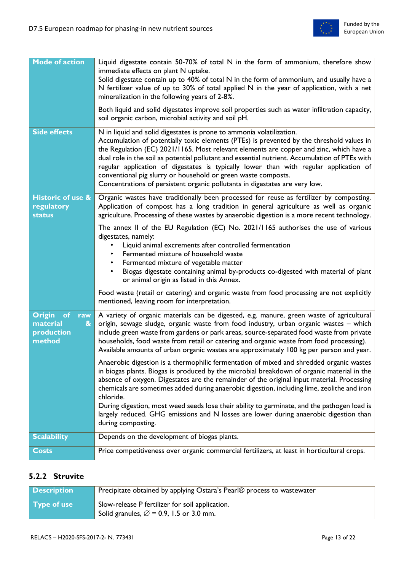

| <b>Mode of action</b>                                                | Liquid digestate contain 50-70% of total N in the form of ammonium, therefore show<br>immediate effects on plant N uptake.<br>Solid digestate contain up to 40% of total N in the form of ammonium, and usually have a<br>N fertilizer value of up to 30% of total applied N in the year of application, with a net<br>mineralization in the following years of 2-8%.<br>Both liquid and solid digestates improve soil properties such as water infiltration capacity,                                                                                                                                  |
|----------------------------------------------------------------------|---------------------------------------------------------------------------------------------------------------------------------------------------------------------------------------------------------------------------------------------------------------------------------------------------------------------------------------------------------------------------------------------------------------------------------------------------------------------------------------------------------------------------------------------------------------------------------------------------------|
|                                                                      | soil organic carbon, microbial activity and soil pH.                                                                                                                                                                                                                                                                                                                                                                                                                                                                                                                                                    |
| <b>Side effects</b>                                                  | N in liquid and solid digestates is prone to ammonia volatilization.<br>Accumulation of potentially toxic elements (PTEs) is prevented by the threshold values in<br>the Regulation (EC) 2021/1165. Most relevant elements are copper and zinc, which have a<br>dual role in the soil as potential pollutant and essential nutrient. Accumulation of PTEs with<br>regular application of digestates is typically lower than with regular application of<br>conventional pig slurry or household or green waste composts.<br>Concentrations of persistent organic pollutants in digestates are very low. |
| <b>Historic of use &amp;</b><br>regulatory<br><b>status</b>          | Organic wastes have traditionally been processed for reuse as fertilizer by composting.<br>Application of compost has a long tradition in general agriculture as well as organic<br>agriculture. Processing of these wastes by anaerobic digestion is a more recent technology.                                                                                                                                                                                                                                                                                                                         |
|                                                                      | The annex II of the EU Regulation (EC) No. 2021/1165 authorises the use of various<br>digestates, namely:<br>Liquid animal excrements after controlled fermentation<br>Fermented mixture of household waste<br>Fermented mixture of vegetable matter<br>Biogas digestate containing animal by-products co-digested with material of plant<br>$\bullet$<br>or animal origin as listed in this Annex.                                                                                                                                                                                                     |
|                                                                      | Food waste (retail or catering) and organic waste from food processing are not explicitly<br>mentioned, leaving room for interpretation.                                                                                                                                                                                                                                                                                                                                                                                                                                                                |
| Origin of<br>raw<br>material<br>$\mathbf{g}$<br>production<br>method | A variety of organic materials can be digested, e.g. manure, green waste of agricultural<br>origin, sewage sludge, organic waste from food industry, urban organic wastes - which<br>include green waste from gardens or park areas, source-separated food waste from private<br>households, food waste from retail or catering and organic waste from food processing).<br>Available amounts of urban organic wastes are approximately 100 kg per person and year.                                                                                                                                     |
|                                                                      | Anaerobic digestion is a thermophilic fermentation of mixed and shredded organic wastes<br>in biogas plants. Biogas is produced by the microbial breakdown of organic material in the<br>absence of oxygen. Digestates are the remainder of the original input material. Processing<br>chemicals are sometimes added during anaerobic digestion, including lime, zeolithe and iron<br>chloride.<br>During digestion, most weed seeds lose their ability to germinate, and the pathogen load is                                                                                                          |
|                                                                      | largely reduced. GHG emissions and N losses are lower during anaerobic digestion than<br>during composting.                                                                                                                                                                                                                                                                                                                                                                                                                                                                                             |
| <b>Scalability</b>                                                   | Depends on the development of biogas plants.                                                                                                                                                                                                                                                                                                                                                                                                                                                                                                                                                            |
| Costs                                                                | Price competitiveness over organic commercial fertilizers, at least in horticultural crops.                                                                                                                                                                                                                                                                                                                                                                                                                                                                                                             |

# <span id="page-12-0"></span>**5.2.2 Struvite**

| <b>Description</b> | Precipitate obtained by applying Ostara's Pearl® process to wastewater |
|--------------------|------------------------------------------------------------------------|
| Type of use        | Slow-release P fertilizer for soil application.                        |
|                    | Solid granules, $\varnothing$ = 0.9, 1.5 or 3.0 mm.                    |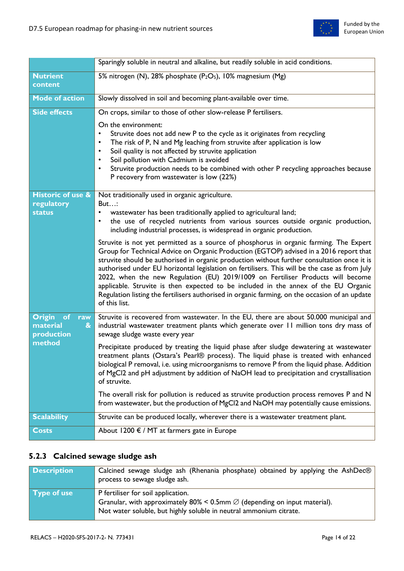

|                                                                               | Sparingly soluble in neutral and alkaline, but readily soluble in acid conditions.                                                                                                                                                                                                                                                                                                                                                                                                                                                                                                                                                                                            |
|-------------------------------------------------------------------------------|-------------------------------------------------------------------------------------------------------------------------------------------------------------------------------------------------------------------------------------------------------------------------------------------------------------------------------------------------------------------------------------------------------------------------------------------------------------------------------------------------------------------------------------------------------------------------------------------------------------------------------------------------------------------------------|
| <b>Nutrient</b><br>content                                                    | 5% nitrogen (N), 28% phosphate (P <sub>2</sub> O <sub>5</sub> ), 10% magnesium (Mg)                                                                                                                                                                                                                                                                                                                                                                                                                                                                                                                                                                                           |
| <b>Mode of action</b>                                                         | Slowly dissolved in soil and becoming plant-available over time.                                                                                                                                                                                                                                                                                                                                                                                                                                                                                                                                                                                                              |
| <b>Side effects</b>                                                           | On crops, similar to those of other slow-release P fertilisers.                                                                                                                                                                                                                                                                                                                                                                                                                                                                                                                                                                                                               |
|                                                                               | On the environment:<br>Struvite does not add new P to the cycle as it originates from recycling<br>The risk of P, N and Mg leaching from struvite after application is low<br>$\bullet$<br>Soil quality is not affected by struvite application<br>٠<br>Soil pollution with Cadmium is avoided<br>٠<br>Struvite production needs to be combined with other P recycling approaches because<br>$\bullet$<br>P recovery from wastewater is low (22%)                                                                                                                                                                                                                             |
| <b>Historic of use &amp;</b><br>regulatory                                    | Not traditionally used in organic agriculture.<br>But                                                                                                                                                                                                                                                                                                                                                                                                                                                                                                                                                                                                                         |
| <b>status</b>                                                                 | wastewater has been traditionally applied to agricultural land;<br>the use of recycled nutrients from various sources outside organic production,<br>$\bullet$<br>including industrial processes, is widespread in organic production.                                                                                                                                                                                                                                                                                                                                                                                                                                        |
|                                                                               | Struvite is not yet permitted as a source of phosphorus in organic farming. The Expert<br>Group for Technical Advice on Organic Production (EGTOP) advised in a 2016 report that<br>struvite should be authorised in organic production without further consultation once it is<br>authorised under EU horizontal legislation on fertilisers. This will be the case as from July<br>2022, when the new Regulation (EU) 2019/1009 on Fertiliser Products will become<br>applicable. Struvite is then expected to be included in the annex of the EU Organic<br>Regulation listing the fertilisers authorised in organic farming, on the occasion of an update<br>of this list. |
| <b>Origin</b><br>of<br>raw<br>material<br>$\boldsymbol{\alpha}$<br>production | Struvite is recovered from wastewater. In the EU, there are about 50.000 municipal and<br>industrial wastewater treatment plants which generate over 11 million tons dry mass of<br>sewage sludge waste every year                                                                                                                                                                                                                                                                                                                                                                                                                                                            |
| method                                                                        | Precipitate produced by treating the liquid phase after sludge dewatering at wastewater<br>treatment plants (Ostara's Pearl® process). The liquid phase is treated with enhanced<br>biological P removal, i.e. using microorganisms to remove P from the liquid phase. Addition<br>of MgCl2 and pH adjustment by addition of NaOH lead to precipitation and crystallisation<br>of struvite.                                                                                                                                                                                                                                                                                   |
|                                                                               | The overall risk for pollution is reduced as struvite production process removes P and N<br>from wastewater, but the production of MgCl2 and NaOH may potentially cause emissions.                                                                                                                                                                                                                                                                                                                                                                                                                                                                                            |
| <b>Scalability</b>                                                            | Struvite can be produced locally, wherever there is a wastewater treatment plant.                                                                                                                                                                                                                                                                                                                                                                                                                                                                                                                                                                                             |
| <b>Costs</b>                                                                  | About 1200 $\epsilon$ / MT at farmers gate in Europe                                                                                                                                                                                                                                                                                                                                                                                                                                                                                                                                                                                                                          |

# <span id="page-13-0"></span>**5.2.3 Calcined sewage sludge ash**

| <b>Description</b> | Calcined sewage sludge ash (Rhenania phosphate) obtained by applying the AshDec®<br>process to sewage sludge ash.                                                                                 |
|--------------------|---------------------------------------------------------------------------------------------------------------------------------------------------------------------------------------------------|
| Type of use        | P fertiliser for soil application.<br>Granular, with approximately 80% < 0.5mm $\varnothing$ (depending on input material).<br>Not water soluble, but highly soluble in neutral ammonium citrate. |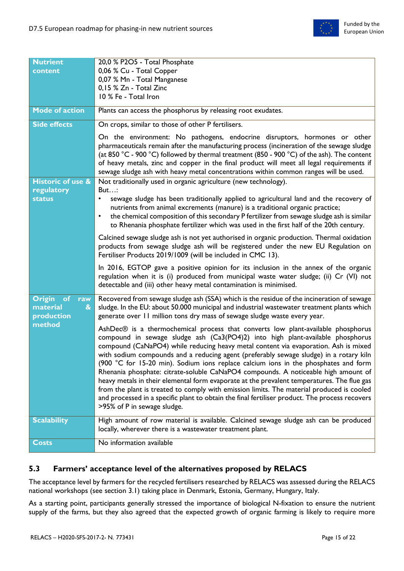

| <b>Nutrient</b>                                                                    | 20,0 % P2O5 - Total Phosphate                                                                                                                                                                                                                                                                                                                                                                                                                                                                                                                                                                                                                                                                                                                                                                                                                                |
|------------------------------------------------------------------------------------|--------------------------------------------------------------------------------------------------------------------------------------------------------------------------------------------------------------------------------------------------------------------------------------------------------------------------------------------------------------------------------------------------------------------------------------------------------------------------------------------------------------------------------------------------------------------------------------------------------------------------------------------------------------------------------------------------------------------------------------------------------------------------------------------------------------------------------------------------------------|
| content                                                                            | 0,06 % Cu - Total Copper                                                                                                                                                                                                                                                                                                                                                                                                                                                                                                                                                                                                                                                                                                                                                                                                                                     |
|                                                                                    | 0,07 % Mn - Total Manganese                                                                                                                                                                                                                                                                                                                                                                                                                                                                                                                                                                                                                                                                                                                                                                                                                                  |
|                                                                                    | 0,15 % Zn - Total Zinc                                                                                                                                                                                                                                                                                                                                                                                                                                                                                                                                                                                                                                                                                                                                                                                                                                       |
|                                                                                    | 10 % Fe - Total Iron                                                                                                                                                                                                                                                                                                                                                                                                                                                                                                                                                                                                                                                                                                                                                                                                                                         |
|                                                                                    |                                                                                                                                                                                                                                                                                                                                                                                                                                                                                                                                                                                                                                                                                                                                                                                                                                                              |
| <b>Mode of action</b>                                                              | Plants can access the phosphorus by releasing root exudates.                                                                                                                                                                                                                                                                                                                                                                                                                                                                                                                                                                                                                                                                                                                                                                                                 |
| <b>Side effects</b>                                                                | On crops, similar to those of other P fertilisers.                                                                                                                                                                                                                                                                                                                                                                                                                                                                                                                                                                                                                                                                                                                                                                                                           |
|                                                                                    | On the environment: No pathogens, endocrine disruptors, hormones or other<br>pharmaceuticals remain after the manufacturing process (incineration of the sewage sludge<br>(at 850 °C - 900 °C) followed by thermal treatment (850 - 900 °C) of the ash). The content<br>of heavy metals, zinc and copper in the final product will meet all legal requirements if<br>sewage sludge ash with heavy metal concentrations within common ranges will be used.                                                                                                                                                                                                                                                                                                                                                                                                    |
| <b>Historic of use &amp;</b>                                                       | Not traditionally used in organic agriculture (new technology).                                                                                                                                                                                                                                                                                                                                                                                                                                                                                                                                                                                                                                                                                                                                                                                              |
| regulatory<br><b>status</b>                                                        | But<br>sewage sludge has been traditionally applied to agricultural land and the recovery of<br>٠<br>nutrients from animal excrements (manure) is a traditional organic practice;<br>the chemical composition of this secondary P fertilizer from sewage sludge ash is similar<br>$\bullet$<br>to Rhenania phosphate fertilizer which was used in the first half of the 20th century.                                                                                                                                                                                                                                                                                                                                                                                                                                                                        |
|                                                                                    | Calcined sewage sludge ash is not yet authorised in organic production. Thermal oxidation<br>products from sewage sludge ash will be registered under the new EU Regulation on<br>Fertiliser Products 2019/1009 (will be included in CMC 13).                                                                                                                                                                                                                                                                                                                                                                                                                                                                                                                                                                                                                |
|                                                                                    | In 2016, EGTOP gave a positive opinion for its inclusion in the annex of the organic<br>regulation when it is (i) produced from municipal waste water sludge; (ii) Cr (VI) not<br>detectable and (iii) other heavy metal contamination is minimised.                                                                                                                                                                                                                                                                                                                                                                                                                                                                                                                                                                                                         |
| <b>Origin</b><br>of<br>raw<br>material<br>$\boldsymbol{\mathcal{S}}$<br>production | Recovered from sewage sludge ash (SSA) which is the residue of the incineration of sewage<br>sludge. In the EU: about 50.000 municipal and industrial wastewater treatment plants which<br>generate over 11 million tons dry mass of sewage sludge waste every year.                                                                                                                                                                                                                                                                                                                                                                                                                                                                                                                                                                                         |
| method                                                                             | AshDec® is a thermochemical process that converts low plant-available phosphorus<br>compound in sewage sludge ash (Ca3(PO4)2) into high plant-available phosphorus<br>compound (CaNaPO4) while reducing heavy metal content via evaporation. Ash is mixed<br>with sodium compounds and a reducing agent (preferably sewage sludge) in a rotary kiln<br>(900 °C for 15-20 min). Sodium ions replace calcium ions in the phosphates and form<br>Rhenania phosphate: citrate-soluble CaNaPO4 compounds. A noticeable high amount of<br>heavy metals in their elemental form evaporate at the prevalent temperatures. The flue gas<br>from the plant is treated to comply with emission limits. The material produced is cooled<br>and processed in a specific plant to obtain the final fertiliser product. The process recovers<br>>95% of P in sewage sludge. |
| <b>Scalability</b>                                                                 | High amount of row material is available. Calcined sewage sludge ash can be produced<br>locally, wherever there is a wastewater treatment plant.                                                                                                                                                                                                                                                                                                                                                                                                                                                                                                                                                                                                                                                                                                             |
| <b>Costs</b>                                                                       | No information available                                                                                                                                                                                                                                                                                                                                                                                                                                                                                                                                                                                                                                                                                                                                                                                                                                     |
|                                                                                    |                                                                                                                                                                                                                                                                                                                                                                                                                                                                                                                                                                                                                                                                                                                                                                                                                                                              |

## <span id="page-14-0"></span>**5.3 Farmers' acceptance level of the alternatives proposed by RELACS**

The acceptance level by farmers for the recycled fertilisers researched by RELACS was assessed during the RELACS national workshops (see section 3.1) taking place in Denmark, Estonia, Germany, Hungary, Italy.

As a starting point, participants generally stressed the importance of biological N-fixation to ensure the nutrient supply of the farms, but they also agreed that the expected growth of organic farming is likely to require more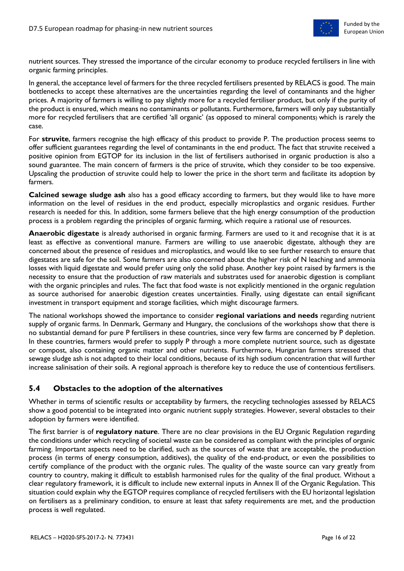

nutrient sources. They stressed the importance of the circular economy to produce recycled fertilisers in line with organic farming principles.

In general, the acceptance level of farmers for the three recycled fertilisers presented by RELACS is good. The main bottlenecks to accept these alternatives are the uncertainties regarding the level of contaminants and the higher prices. A majority of farmers is willing to pay slightly more for a recycled fertiliser product, but only if the purity of the product is ensured, which means no contaminants or pollutants. Furthermore, farmers will only pay substantially more for recycled fertilisers that are certified 'all organic' (as opposed to mineral components) which is rarely the case.

For **struvite**, farmers recognise the high efficacy of this product to provide P. The production process seems to offer sufficient guarantees regarding the level of contaminants in the end product. The fact that struvite received a positive opinion from EGTOP for its inclusion in the list of fertilisers authorised in organic production is also a sound guarantee. The main concern of farmers is the price of struvite, which they consider to be too expensive. Upscaling the production of struvite could help to lower the price in the short term and facilitate its adoption by farmers.

**Calcined sewage sludge ash** also has a good efficacy according to farmers, but they would like to have more information on the level of residues in the end product, especially microplastics and organic residues. Further research is needed for this. In addition, some farmers believe that the high energy consumption of the production process is a problem regarding the principles of organic farming, which require a rational use of resources.

**Anaerobic digestate** is already authorised in organic farming. Farmers are used to it and recognise that it is at least as effective as conventional manure. Farmers are willing to use anaerobic digestate, although they are concerned about the presence of residues and microplastics, and would like to see further research to ensure that digestates are safe for the soil. Some farmers are also concerned about the higher risk of N leaching and ammonia losses with liquid digestate and would prefer using only the solid phase. Another key point raised by farmers is the necessity to ensure that the production of raw materials and substrates used for anaerobic digestion is compliant with the organic principles and rules. The fact that food waste is not explicitly mentioned in the organic regulation as source authorised for anaerobic digestion creates uncertainties. Finally, using digestate can entail significant investment in transport equipment and storage facilities, which might discourage farmers.

The national workshops showed the importance to consider **regional variations and needs** regarding nutrient supply of organic farms. In Denmark, Germany and Hungary, the conclusions of the workshops show that there is no substantial demand for pure P fertilisers in these countries, since very few farms are concerned by P depletion. In these countries, farmers would prefer to supply P through a more complete nutrient source, such as digestate or compost, also containing organic matter and other nutrients. Furthermore, Hungarian farmers stressed that sewage sludge ash is not adapted to their local conditions, because of its high sodium concentration that will further increase salinisation of their soils. A regional approach is therefore key to reduce the use of contentious fertilisers.

### <span id="page-15-0"></span>**5.4 Obstacles to the adoption of the alternatives**

Whether in terms of scientific results or acceptability by farmers, the recycling technologies assessed by RELACS show a good potential to be integrated into organic nutrient supply strategies. However, several obstacles to their adoption by farmers were identified.

The first barrier is of **regulatory nature**. There are no clear provisions in the EU Organic Regulation regarding the conditions under which recycling of societal waste can be considered as compliant with the principles of organic farming. Important aspects need to be clarified, such as the sources of waste that are acceptable, the production process (in terms of energy consumption, additives), the quality of the end-product, or even the possibilities to certify compliance of the product with the organic rules. The quality of the waste source can vary greatly from country to country, making it difficult to establish harmonised rules for the quality of the final product. Without a clear regulatory framework, it is difficult to include new external inputs in Annex II of the Organic Regulation. This situation could explain why the EGTOP requires compliance of recycled fertilisers with the EU horizontal legislation on fertilisers as a preliminary condition, to ensure at least that safety requirements are met, and the production process is well regulated.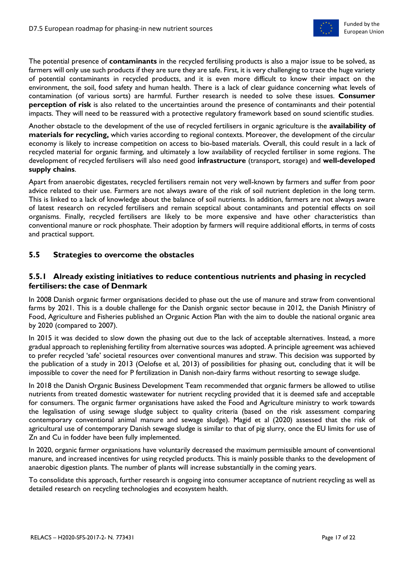

The potential presence of **contaminants** in the recycled fertilising products is also a major issue to be solved, as farmers will only use such products if they are sure they are safe. First, it is very challenging to trace the huge variety of potential contaminants in recycled products, and it is even more difficult to know their impact on the environment, the soil, food safety and human health. There is a lack of clear guidance concerning what levels of contamination (of various sorts) are harmful. Further research is needed to solve these issues. **Consumer perception of risk** is also related to the uncertainties around the presence of contaminants and their potential impacts. They will need to be reassured with a protective regulatory framework based on sound scientific studies.

Another obstacle to the development of the use of recycled fertilisers in organic agriculture is the **availability of materials for recycling,** which varies according to regional contexts. Moreover, the development of the circular economy is likely to increase competition on access to bio-based materials. Overall, this could result in a lack of recycled material for organic farming, and ultimately a low availability of recycled fertiliser in some regions. The development of recycled fertilisers will also need good **infrastructure** (transport, storage) and **well-developed supply chains**.

Apart from anaerobic digestates, recycled fertilisers remain not very well-known by farmers and suffer from poor advice related to their use. Farmers are not always aware of the risk of soil nutrient depletion in the long term. This is linked to a lack of knowledge about the balance of soil nutrients. In addition, farmers are not always aware of latest research on recycled fertilisers and remain sceptical about contaminants and potential effects on soil organisms. Finally, recycled fertilisers are likely to be more expensive and have other characteristics than conventional manure or rock phosphate. Their adoption by farmers will require additional efforts, in terms of costs and practical support.

#### <span id="page-16-0"></span>**5.5 Strategies to overcome the obstacles**

#### <span id="page-16-1"></span>**5.5.1 Already existing initiatives to reduce contentious nutrients and phasing in recycled fertilisers: the case of Denmark**

In 2008 Danish organic farmer organisations decided to phase out the use of manure and straw from conventional farms by 2021. This is a double challenge for the Danish organic sector because in 2012, the Danish Ministry of Food, Agriculture and Fisheries published an Organic Action Plan with the aim to double the national organic area by 2020 (compared to 2007).

In 2015 it was decided to slow down the phasing out due to the lack of acceptable alternatives. Instead, a more gradual approach to replenishing fertility from alternative sources was adopted. A principle agreement was achieved to prefer recycled 'safe' societal resources over conventional manures and straw. This decision was supported by the publication of a study in 2013 (Oelofse et al, 2013) of possibilities for phasing out, concluding that it will be impossible to cover the need for P fertilization in Danish non-dairy farms without resorting to sewage sludge.

In 2018 the Danish Organic Business Development Team recommended that organic farmers be allowed to utilise nutrients from treated domestic wastewater for nutrient recycling provided that it is deemed safe and acceptable for consumers. The organic farmer organisations have asked the Food and Agriculture ministry to work towards the legalisation of using sewage sludge subject to quality criteria (based on the risk assessment comparing contemporary conventional animal manure and sewage sludge). Magid et al (2020) assessed that the risk of agricultural use of contemporary Danish sewage sludge is similar to that of pig slurry, once the EU limits for use of Zn and Cu in fodder have been fully implemented.

In 2020, organic farmer organisations have voluntarily decreased the maximum permissible amount of conventional manure, and increased incentives for using recycled products. This is mainly possible thanks to the development of anaerobic digestion plants. The number of plants will increase substantially in the coming years.

To consolidate this approach, further research is ongoing into consumer acceptance of nutrient recycling as well as detailed research on recycling technologies and ecosystem health.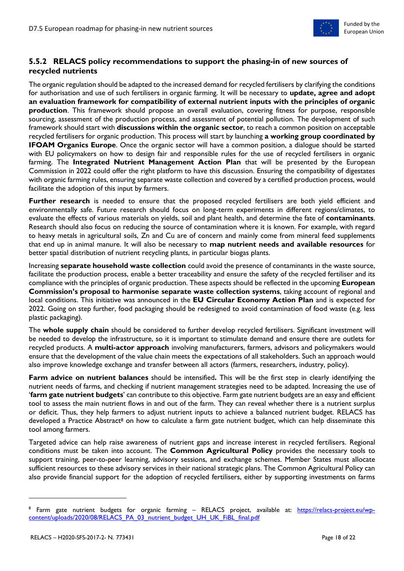

### <span id="page-17-0"></span>**5.5.2 RELACS policy recommendations to support the phasing-in of new sources of recycled nutrients**

The organic regulation should be adapted to the increased demand for recycled fertilisers by clarifying the conditions for authorisation and use of such fertilisers in organic farming. It will be necessary to **update, agree and adopt an evaluation framework for compatibility of external nutrient inputs with the principles of organic production**. This framework should propose an overall evaluation, covering fitness for purpose, responsible sourcing, assessment of the production process, and assessment of potential pollution. The development of such framework should start with **discussions within the organic sector**, to reach a common position on acceptable recycled fertilisers for organic production. This process will start by launching **a working group coordinated by IFOAM Organics Europe**. Once the organic sector will have a common position, a dialogue should be started with EU policymakers on how to design fair and responsible rules for the use of recycled fertilisers in organic farming. The **Integrated Nutrient Management Action Plan** that will be presented by the European Commission in 2022 could offer the right platform to have this discussion. Ensuring the compatibility of digestates with organic farming rules, ensuring separate waste collection and covered by a certified production process, would facilitate the adoption of this input by farmers.

**Further research** is needed to ensure that the proposed recycled fertilisers are both yield efficient and environmentally safe. Future research should focus on long-term experiments in different regions/climates, to evaluate the effects of various materials on yields, soil and plant health, and determine the fate of **contaminants**. Research should also focus on reducing the source of contamination where it is known. For example, with regard to heavy metals in agricultural soils, Zn and Cu are of concern and mainly come from mineral feed supplements that end up in animal manure. It will also be necessary to **map nutrient needs and available resources** for better spatial distribution of nutrient recycling plants, in particular biogas plants.

Increasing **separate household waste collection** could avoid the presence of contaminants in the waste source, facilitate the production process, enable a better traceability and ensure the safety of the recycled fertiliser and its compliance with the principles of organic production. These aspects should be reflected in the upcoming **European Commission's proposal to harmonise separate waste collection systems**, taking account of regional and local conditions. This initiative was announced in the **EU Circular Economy Action Plan** and is expected for 2022. Going on step further, food packaging should be redesigned to avoid contamination of food waste (e.g. less plastic packaging).

The **whole supply chain** should be considered to further develop recycled fertilisers. Significant investment will be needed to develop the infrastructure, so it is important to stimulate demand and ensure there are outlets for recycled products. A **multi-actor approach** involving manufacturers, farmers, advisors and policymakers would ensure that the development of the value chain meets the expectations of all stakeholders. Such an approach would also improve knowledge exchange and transfer between all actors (farmers, researchers, industry, policy).

**Farm advice on nutrient balances** should be intensified**.** This will be the first step in clearly identifying the nutrient needs of farms, and checking if nutrient management strategies need to be adapted. Increasing the use of '**farm gate nutrient budgets**' can contribute to this objective. Farm gate nutrient budgets are an easy and efficient tool to assess the main nutrient flows in and out of the farm. They can reveal whether there is a nutrient surplus or deficit. Thus, they help farmers to adjust nutrient inputs to achieve a balanced nutrient budget. RELACS has developed a Practice Abstract<sup>8</sup> on how to calculate a farm gate nutrient budget, which can help disseminate this tool among farmers.

Targeted advice can help raise awareness of nutrient gaps and increase interest in recycled fertilisers. Regional conditions must be taken into account. The **Common Agricultural Policy** provides the necessary tools to support training, peer-to-peer learning, advisory sessions, and exchange schemes. Member States must allocate sufficient resources to these advisory services in their national strategic plans. The Common Agricultural Policy can also provide financial support for the adoption of recycled fertilisers, either by supporting investments on farms

 $\overline{a}$ 

<sup>&</sup>lt;sup>8</sup> Farm gate nutrient budgets for organic farming – RELACS project, available at: <u>https://relacs-project.eu/wp-</u> [content/uploads/2020/08/RELACS\\_PA\\_03\\_nutrient\\_budget\\_UH\\_UK\\_FiBL\\_final.pdf](https://relacs-project.eu/wp-content/uploads/2020/08/RELACS_PA_03_nutrient_budget_UH_UK_FiBL_final.pdf)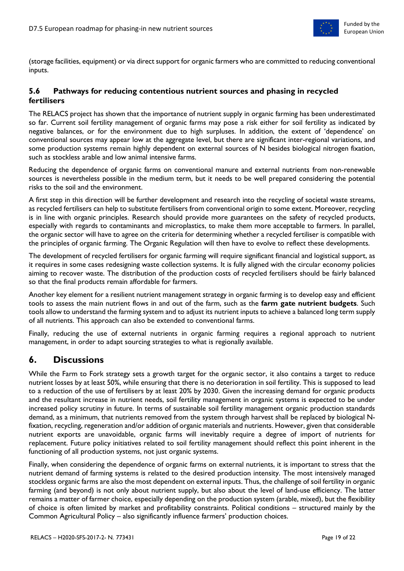

(storage facilities, equipment) or via direct support for organic farmers who are committed to reducing conventional inputs.

### <span id="page-18-0"></span>**5.6 Pathways for reducing contentious nutrient sources and phasing in recycled fertilisers**

The RELACS project has shown that the importance of nutrient supply in organic farming has been underestimated so far. Current soil fertility management of organic farms may pose a risk either for soil fertility as indicated by negative balances, or for the environment due to high surpluses. In addition, the extent of 'dependence' on conventional sources may appear low at the aggregate level, but there are significant inter-regional variations, and some production systems remain highly dependent on external sources of N besides biological nitrogen fixation, such as stockless arable and low animal intensive farms.

Reducing the dependence of organic farms on conventional manure and external nutrients from non-renewable sources is nevertheless possible in the medium term, but it needs to be well prepared considering the potential risks to the soil and the environment.

A first step in this direction will be further development and research into the recycling of societal waste streams, as recycled fertilisers can help to substitute fertilisers from conventional origin to some extent. Moreover, recycling is in line with organic principles. Research should provide more guarantees on the safety of recycled products, especially with regards to contaminants and microplastics, to make them more acceptable to farmers. In parallel, the organic sector will have to agree on the criteria for determining whether a recycled fertiliser is compatible with the principles of organic farming. The Organic Regulation will then have to evolve to reflect these developments.

The development of recycled fertilisers for organic farming will require significant financial and logistical support, as it requires in some cases redesigning waste collection systems. It is fully aligned with the circular economy policies aiming to recover waste. The distribution of the production costs of recycled fertilisers should be fairly balanced so that the final products remain affordable for farmers.

Another key element for a resilient nutrient management strategy in organic farming is to develop easy and efficient tools to assess the main nutrient flows in and out of the farm, such as the **farm gate nutrient budgets**. Such tools allow to understand the farming system and to adjust its nutrient inputs to achieve a balanced long term supply of all nutrients. This approach can also be extended to conventional farms.

Finally, reducing the use of external nutrients in organic farming requires a regional approach to nutrient management, in order to adapt sourcing strategies to what is regionally available.

## <span id="page-18-1"></span>**6. Discussions**

While the Farm to Fork strategy sets a growth target for the organic sector, it also contains a target to reduce nutrient losses by at least 50%, while ensuring that there is no deterioration in soil fertility. This is supposed to lead to a reduction of the use of fertilisers by at least 20% by 2030. Given the increasing demand for organic products and the resultant increase in nutrient needs, soil fertility management in organic systems is expected to be under increased policy scrutiny in future. In terms of sustainable soil fertility management organic production standards demand, as a minimum, that nutrients removed from the system through harvest shall be replaced by biological Nfixation, recycling, regeneration and/or addition of organic materials and nutrients. However, given that considerable nutrient exports are unavoidable, organic farms will inevitably require a degree of import of nutrients for replacement. Future policy initiatives related to soil fertility management should reflect this point inherent in the functioning of all production systems, not just organic systems.

Finally, when considering the dependence of organic farms on external nutrients, it is important to stress that the nutrient demand of farming systems is related to the desired production intensity. The most intensively managed stockless organic farms are also the most dependent on external inputs. Thus, the challenge of soil fertility in organic farming (and beyond) is not only about nutrient supply, but also about the level of land-use efficiency. The latter remains a matter of farmer choice, especially depending on the production system (arable, mixed), but the flexibility of choice is often limited by market and profitability constraints. Political conditions – structured mainly by the Common Agricultural Policy – also significantly influence farmers' production choices.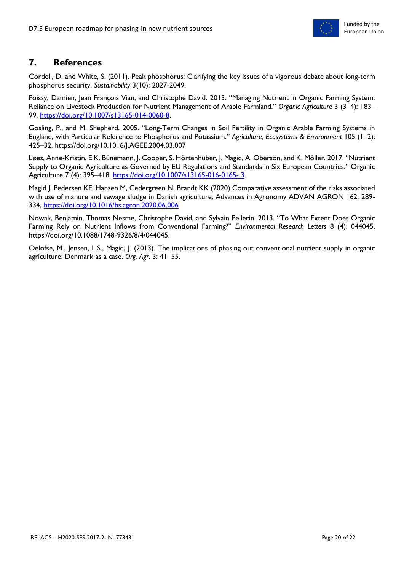

# <span id="page-19-0"></span>**7. References**

Cordell, D. and White, S. (2011). Peak phosphorus: Clarifying the key issues of a vigorous debate about long-term phosphorus security. *Sustainability* 3(10): 2027-2049.

Foissy, Damien, Jean François Vian, and Christophe David. 2013. "Managing Nutrient in Organic Farming System: Reliance on Livestock Production for Nutrient Management of Arable Farmland." *Organic Agriculture* 3 (3–4): 183– 99. [https://doi.org/10.1007/s13165-014-0060-8.](https://doi.org/10.1007/s13165-014-0060-8)

Gosling, P., and M. Shepherd. 2005. "Long-Term Changes in Soil Fertility in Organic Arable Farming Systems in England, with Particular Reference to Phosphorus and Potassium." *Agriculture, Ecosystems & Environment* 105 (1–2): 425–32. https://doi.org/10.1016/J.AGEE.2004.03.007

Løes, Anne-Kristin, E.K. Bünemann, J. Cooper, S. Hörtenhuber, J. Magid, A. Oberson, and K. Möller. 2017. "Nutrient Supply to Organic Agriculture as Governed by EU Regulations and Standards in Six European Countries." Organic Agriculture 7 (4): 395–418. [https://doi.org/10.1007/s13165-016-0165-](https://doi.org/10.1007/s13165-016-0165-%203) 3.

Magid J, Pedersen KE, Hansen M, Cedergreen N, Brandt KK (2020) Comparative assessment of the risks associated with use of manure and sewage sludge in Danish agriculture, Advances in Agronomy ADVAN AGRON 162: 289- 334,<https://doi.org/10.1016/bs.agron.2020.06.006>

Nowak, Benjamin, Thomas Nesme, Christophe David, and Sylvain Pellerin. 2013. "To What Extent Does Organic Farming Rely on Nutrient Inflows from Conventional Farming?" *Environmental Research Letters* 8 (4): 044045. https://doi.org/10.1088/1748-9326/8/4/044045.

Oelofse, M., Jensen, L.S., Magid, J. (2013). The implications of phasing out conventional nutrient supply in organic agriculture: Denmark as a case. *Org. Agr*. 3: 41–55.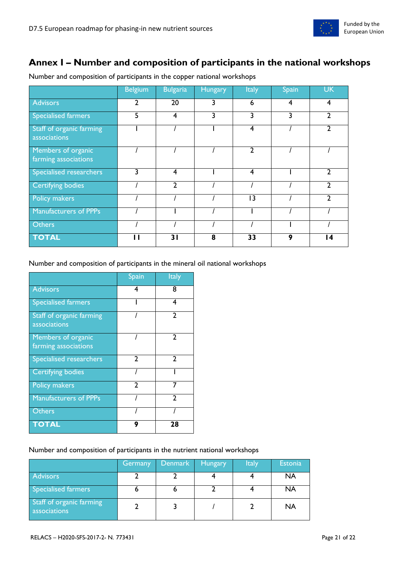

# <span id="page-20-0"></span>**Annex I – Number and composition of participants in the national workshops**

|                                            | <b>Belgium</b> | <b>Bulgaria</b> | Hungary | <b>Italy</b>   | <b>Spain</b> | <b>UK</b>       |
|--------------------------------------------|----------------|-----------------|---------|----------------|--------------|-----------------|
| <b>Advisors</b>                            | 2              | 20              | 3       | 6              | 4            | 4               |
| <b>Specialised farmers</b>                 | 5              | 4               | 3       | 3              | 3            | 2               |
| Staff of organic farming<br>associations   |                |                 |         | 4              |              | C               |
| Members of organic<br>farming associations |                |                 |         | $\mathbf{c}$   |              |                 |
| Specialised researchers                    | 3              | $\overline{4}$  |         | $\overline{4}$ |              | 2               |
| <b>Certifying bodies</b>                   |                | $\mathbf{2}$    |         |                |              | າ               |
| <b>Policy makers</b>                       |                |                 |         | 3              |              | າ               |
| <b>Manufacturers of PPPs</b>               |                |                 |         |                |              |                 |
| <b>Others</b>                              |                |                 |         |                |              |                 |
| <b>TOTAL</b>                               | ш              | 31              | 8       | 33             | 9            | $\overline{14}$ |

Number and composition of participants in the copper national workshops

#### Number and composition of participants in the mineral oil national workshops

|                                            | Spain         | Italy         |
|--------------------------------------------|---------------|---------------|
| <b>Advisors</b>                            | 4             | 8             |
| <b>Specialised farmers</b>                 |               | 4             |
| Staff of organic farming<br>associations   |               | C             |
| Members of organic<br>farming associations |               | 2             |
| <b>Specialised researchers</b>             | $\mathcal{P}$ | $\mathcal{P}$ |
| <b>Certifying bodies</b>                   |               |               |
| <b>Policy makers</b>                       | $\mathcal{P}$ | 7             |
| <b>Manufacturers of PPPs</b>               |               | າ             |
| <b>Others</b>                              |               |               |
| <b>TOTAL</b>                               | g             | 28            |

#### Number and composition of participants in the nutrient national workshops

|                                          | Germany | Denmark | <b>Hungary</b> | <b>Italy</b> | <b>Estonia</b> |
|------------------------------------------|---------|---------|----------------|--------------|----------------|
| <b>Advisors</b>                          |         |         |                |              | NA             |
| Specialised farmers                      |         |         |                |              | NA             |
| Staff of organic farming<br>associations |         |         |                |              | NA             |